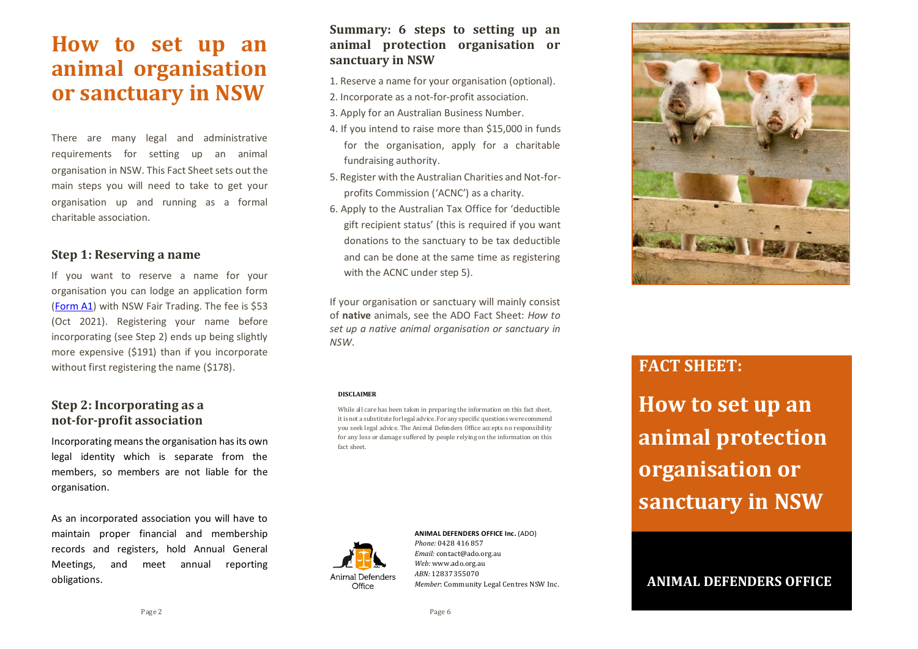# **How to set up an animal organisation or sanctuary in NSW**

There are many legal and administrative requirements for setting up an animal organisation in NSW. This Fact Sheet sets out the main steps you will need to take to get your organisation up and running as a formal charitable association.

### **Step 1: Reserving a name**

If you want to reserve a name for your organisation you can lodge an application form (Form A1) with NSW Fair Trading. The fee is \$53 (Oct 2021). Registering your name before incorporating (see Step 2) ends up being slightly more expensive (\$191) than if you incorporate without first registering the name (\$178).

# **Step 2: Incorporating as a not-for-profit association**

Incorporating meansthe organisation has its own legal identity which is separate from the members, so members are not liable for the organisation.

As an incorporated association you will have to maintain proper financial and membership records and registers, hold Annual General Meetings, and meet annual reporting obligations.

### **Summary: 6 steps to setting up an animal protection organisation or sanctuary in NSW**

- 1. Reserve a name for your organisation (optional).
- 2. Incorporate as a not-for-profit association.
- 3. Apply for an Australian Business Number.
- 4. If you intend to raise more than \$15,000 in funds for the organisation, apply for a charitable fundraising authority.
- 5. Register with the Australian Charities and Not-forprofits Commission ('ACNC') as a charity.
- 6. Apply to the Australian Tax Office for 'deductible gift recipient status' (this is required if you want donations to the sanctuary to be tax deductible and can be done at the same time as registering with the ACNC under step 5).

If your organisation or sanctuary will mainly consist of **native** animals, see the ADO Fact Sheet: *How to set up a native animal organisation or sanctuary in NSW*.

#### **DISCLAIMER**

While all care has been taken in preparing the information on this fact sheet, it is not a substitute for legal advice. For any specific questions we recommend you seek legal advice. The Animal Defenders Office accepts no responsibility for any loss or damage suffered by people relying on the information on this fact sheet.



**ANIMAL DEFENDERS OFFICE Inc.** (ADO) *Phone:* 0428 416 857 *Email:* contact@ado.org.au *Web:* www.ado.org.au *ABN:* 12837355070 *Member*: Community Legal Centres NSW Inc.



# **FACT SHEET:**

**How to set up an animal protection organisation or sanctuary in NSW**